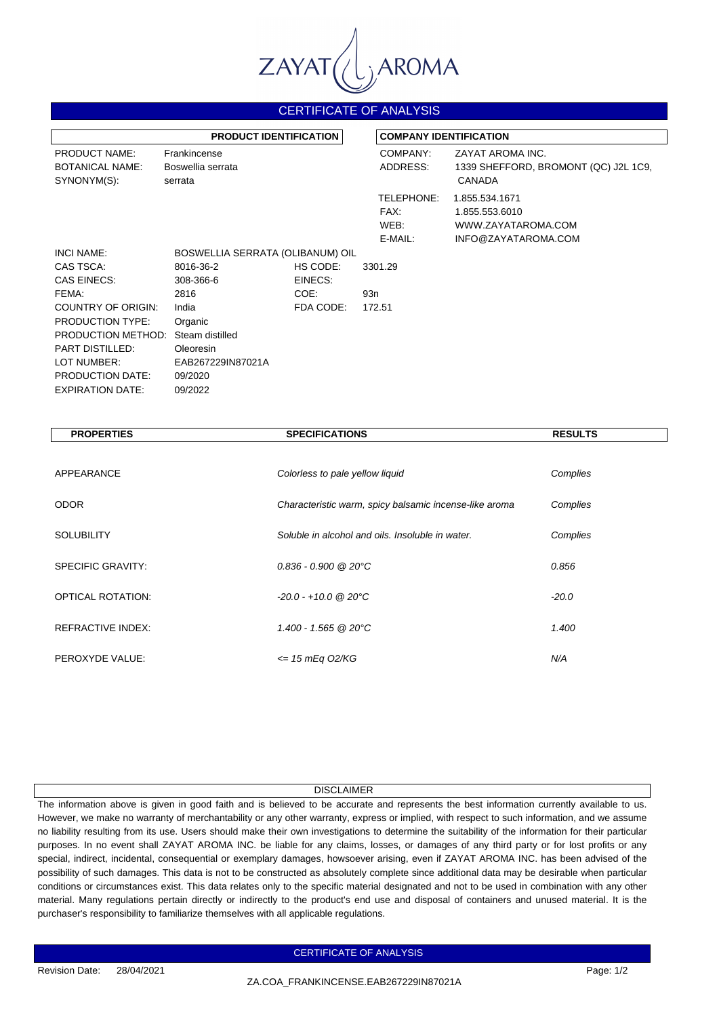

## CERTIFICATE OF ANALYSIS

| <b>PRODUCT IDENTIFICATION</b>                                 |                                              |           |                                       | <b>COMPANY IDENTIFICATION</b>                                                 |  |
|---------------------------------------------------------------|----------------------------------------------|-----------|---------------------------------------|-------------------------------------------------------------------------------|--|
| <b>PRODUCT NAME:</b><br><b>BOTANICAL NAME:</b><br>SYNONYM(S): | Frankincense<br>Boswellia serrata<br>serrata |           | COMPANY:<br>ADDRESS:                  | ZAYAT AROMA INC.<br>1339 SHEFFORD, BROMONT (QC) J2L 1C9,<br><b>CANADA</b>     |  |
|                                                               |                                              |           | TELEPHONE:<br>FAX:<br>WEB:<br>E-MAIL: | 1.855.534.1671<br>1.855.553.6010<br>WWW.ZAYATAROMA.COM<br>INFO@ZAYATAROMA.COM |  |
| <b>INCI NAME:</b>                                             | BOSWELLIA SERRATA (OLIBANUM) OIL             |           |                                       |                                                                               |  |
| CAS TSCA:                                                     | 8016-36-2                                    | HS CODE:  | 3301.29                               |                                                                               |  |
| <b>CAS EINECS:</b>                                            | 308-366-6                                    | EINECS:   |                                       |                                                                               |  |
| FEMA:                                                         | 2816                                         | COE:      | 93n                                   |                                                                               |  |
| COUNTRY OF ORIGIN:                                            | India                                        | FDA CODE: | 172.51                                |                                                                               |  |
| <b>PRODUCTION TYPE:</b>                                       | Organic                                      |           |                                       |                                                                               |  |
| PRODUCTION METHOD:                                            | Steam distilled                              |           |                                       |                                                                               |  |
| PART DISTILLED:                                               | <b>Oleoresin</b>                             |           |                                       |                                                                               |  |
| LOT NUMBER:                                                   | EAB267229IN87021A                            |           |                                       |                                                                               |  |
| <b>PRODUCTION DATE:</b>                                       | 09/2020                                      |           |                                       |                                                                               |  |
| <b>EXPIRATION DATE:</b>                                       | 09/2022                                      |           |                                       |                                                                               |  |

| <b>PROPERTIES</b>        | <b>SPECIFICATIONS</b>                                  | <b>RESULTS</b> |
|--------------------------|--------------------------------------------------------|----------------|
|                          |                                                        |                |
| APPEARANCE               | Colorless to pale yellow liquid                        | Complies       |
| <b>ODOR</b>              | Characteristic warm, spicy balsamic incense-like aroma | Complies       |
| <b>SOLUBILITY</b>        | Soluble in alcohol and oils. Insoluble in water.       | Complies       |
| <b>SPECIFIC GRAVITY:</b> | $0.836 - 0.900 \ @ \ 20^{\circ}\text{C}$               | 0.856          |
| <b>OPTICAL ROTATION:</b> | $-20.0 - +10.0$ @ 20°C                                 | $-20.0$        |
| <b>REFRACTIVE INDEX:</b> | 1.400 - 1.565 @ 20°C                                   | 1.400          |
| PEROXYDE VALUE:          | $\epsilon$ = 15 mEq 02/KG                              | N/A            |

## **DISCLAIMER**

The information above is given in good faith and is believed to be accurate and represents the best information currently available to us. However, we make no warranty of merchantability or any other warranty, express or implied, with respect to such information, and we assume no liability resulting from its use. Users should make their own investigations to determine the suitability of the information for their particular purposes. In no event shall ZAYAT AROMA INC. be liable for any claims, losses, or damages of any third party or for lost profits or any special, indirect, incidental, consequential or exemplary damages, howsoever arising, even if ZAYAT AROMA INC. has been advised of the possibility of such damages. This data is not to be constructed as absolutely complete since additional data may be desirable when particular conditions or circumstances exist. This data relates only to the specific material designated and not to be used in combination with any other material. Many regulations pertain directly or indirectly to the product's end use and disposal of containers and unused material. It is the purchaser's responsibility to familiarize themselves with all applicable regulations.

CERTIFICATE OF ANALYSIS